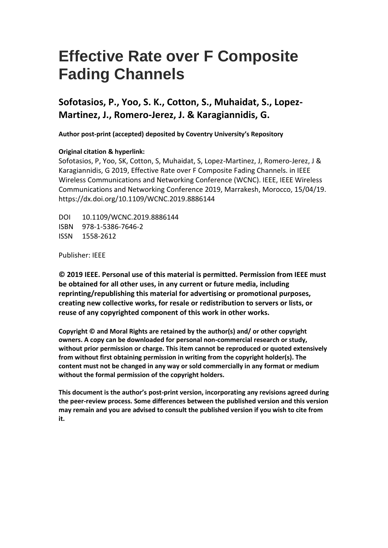# **Effective Rate over F Composite Fading Channels**

### **Sofotasios, P., Yoo, S. K., Cotton, S., Muhaidat, S., Lopez-Martinez, J., Romero-Jerez, J. & Karagiannidis, G.**

 **Author post-print (accepted) deposited by Coventry University's Repository** 

#### **Original citation & hyperlink:**

 Sofotasios, P, Yoo, SK, Cotton, S, Muhaidat, S, Lopez-Martinez, J, Romero-Jerez, J & Karagiannidis, G 2019, Effective Rate over F Composite Fading Channels. in IEEE Wireless Communications and Networking Conference (WCNC). IEEE, IEEE Wireless Communications and Networking Conference 2019, Marrakesh, Morocco, 15/04/19. https://dx.doi.org/10.1109/WCNC.2019.8886144

DOI 10.1109/WCNC.2019.8886144 ISBN 978-1-5386-7646-2 ISSN 1558-2612

Publisher: IEEE

 **© 2019 IEEE. Personal use of this material is permitted. Permission from IEEE must be obtained for all other uses, in any current or future media, including reprinting/republishing this material for advertising or promotional purposes, creating new collective works, for resale or redistribution to servers or lists, or reuse of any copyrighted component of this work in other works.** 

 **owners. A copy can be downloaded for personal non-commercial research or study, without prior permission or charge. This item cannot be reproduced or quoted extensively from without first obtaining permission in writing from the copyright holder(s). The content must not be changed in any way or sold commercially in any format or medium Copyright © and Moral Rights are retained by the author(s) and/ or other copyright without the formal permission of the copyright holders.** 

 **the peer-review process. Some differences between the published version and this version This document is the author's post-print version, incorporating any revisions agreed during may remain and you are advised to consult the published version if you wish to cite from it.**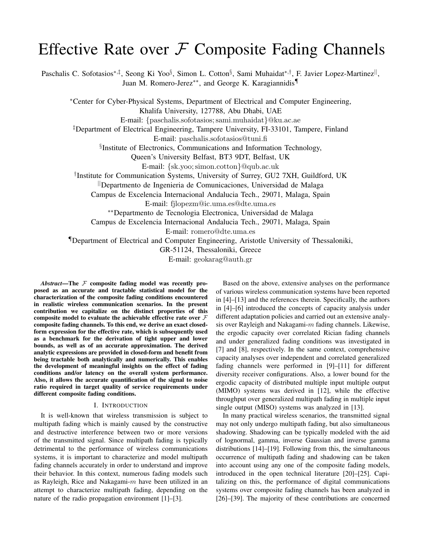## Effective Rate over  $F$  Composite Fading Channels

Paschalis C. Sofotasios\*<sup>,‡</sup>, Seong Ki Yoo§, Simon L. Cotton§, Sami Muhaidat\*<sup>,†</sup>, F. Javier Lopez-Martinez<sup>||</sup>, Juan M. Romero-Jerez∗∗, and George K. Karagiannidis¶

<sup>∗</sup>Center for Cyber-Physical Systems, Department of Electrical and Computer Engineering, Khalifa University, 127788, Abu Dhabi, UAE

E-mail: {paschalis.sofotasios; sami.muhaidat}@ku.ac.ae

‡Department of Electrical Engineering, Tampere University, FI-33101, Tampere, Finland

E-mail: paschalis.sofotasios@tuni.fi

§ Institute of Electronics, Communications and Information Technology,

Queen's University Belfast, BT3 9DT, Belfast, UK

E-mail: {sk.yoo; simon.cotton}@qub.ac.uk

† Institute for Communication Systems, University of Surrey, GU2 7XH, Guildford, UK

||Departmento de Ingenieria de Comunicaciones, Universidad de Malaga

Campus de Excelencia Internacional Andalucia Tech., 29071, Malaga, Spain

E-mail: fjlopezm@ic.uma.es@dte.uma.es

∗∗Departmento de Tecnologia Electronica, Universidad de Malaga

Campus de Excelencia Internacional Andalucia Tech., 29071, Malaga, Spain

E-mail: romero@dte.uma.es

¶Department of Electrical and Computer Engineering, Aristotle University of Thessaloniki,

GR-51124, Thessaloniki, Greece

E-mail: geokarag@auth.gr

*Abstract*—The  $F$  composite fading model was recently proposed as an accurate and tractable statistical model for the characterization of the composite fading conditions encountered in realistic wireless communication scenarios. In the present contribution we capitalize on the distinct properties of this composite model to evaluate the achievable effective rate over  $\mathcal F$ composite fading channels. To this end, we derive an exact closedform expression for the effective rate, which is subsequently used as a benchmark for the derivation of tight upper and lower bounds, as well as of an accurate approximation. The derived analytic expressions are provided in closed-form and benefit from being tractable both analytically and numerically. This enables the development of meaningful insights on the effect of fading conditions and/or latency on the overall system performance. Also, it allows the accurate quantification of the signal to noise ratio required in target quality of service requirements under different composite fading conditions.

#### I. INTRODUCTION

It is well-known that wireless transmission is subject to multipath fading which is mainly caused by the constructive and destructive interference between two or more versions of the transmitted signal. Since multipath fading is typically detrimental to the performance of wireless communications systems, it is important to characterize and model multipath fading channels accurately in order to understand and improve their behavior. In this context, numerous fading models such as Rayleigh, Rice and Nakagami- $m$  have been utilized in an attempt to characterize multipath fading, depending on the nature of the radio propagation environment [1]–[3].

Based on the above, extensive analyses on the performance of various wireless communication systems have been reported in [4]–[13] and the references therein. Specifically, the authors in [4]–[6] introduced the concepts of capacity analysis under different adaptation policies and carried out an extensive analysis over Rayleigh and Nakagami- $m$  fading channels. Likewise, the ergodic capacity over correlated Rician fading channels and under generalized fading conditions was investigated in [7] and [8], respectively. In the same context, comprehensive capacity analyses over independent and correlated generalized fading channels were performed in [9]–[11] for different diversity receiver configurations. Also, a lower bound for the ergodic capacity of distributed multiple input multiple output (MIMO) systems was derived in [12], while the effective throughput over generalized multipath fading in multiple input single output (MISO) systems was analyzed in [13].

In many practical wireless scenarios, the transmitted signal may not only undergo multipath fading, but also simultaneous shadowing. Shadowing can be typically modeled with the aid of lognormal, gamma, inverse Gaussian and inverse gamma distributions [14]–[19]. Following from this, the simultaneous occurrence of multipath fading and shadowing can be taken into account using any one of the composite fading models, introduced in the open technical literature [20]–[25]. Capitalizing on this, the performance of digital communications systems over composite fading channels has been analyzed in [26]–[39]. The majority of these contributions are concerned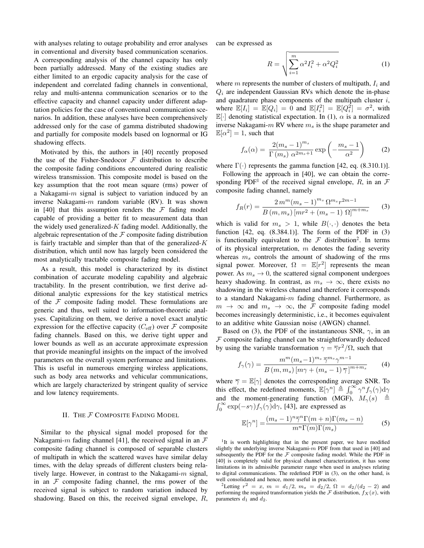with analyses relating to outage probability and error analyses in conventional and diversity based communication scenarios. A corresponding analysis of the channel capacity has only been partially addressed. Many of the existing studies are either limited to an ergodic capacity analysis for the case of independent and correlated fading channels in conventional, relay and multi-antenna communication scenarios or to the effective capacity and channel capacity under different adaptation policies for the case of conventional communication scenarios. In addition, these analyses have been comprehensively addressed only for the case of gamma distributed shadowing and partially for composite models based on lognormal or IG shadowing effects.

Motivated by this, the authors in [40] recently proposed the use of the Fisher-Snedocor  $F$  distribution to describe the composite fading conditions encountered during realistic wireless transmission. This composite model is based on the key assumption that the root mean square (rms) power of a Nakagami- $m$  signal is subject to variation induced by an inverse Nakagami-m random variable (RV). It was shown in [40] that this assumption renders the  $\mathcal F$  fading model capable of providing a better fit to measurement data than the widely used generalized- $K$  fading model. Additionally, the algebraic representation of the  $\mathcal F$  composite fading distribution is fairly tractable and simpler than that of the generalized- $K$ distribution, which until now has largely been considered the most analytically tractable composite fading model.

As a result, this model is characterized by its distinct combination of accurate modeling capability and algebraic tractability. In the present contribution, we first derive additional analytic expressions for the key statistical metrics of the  $F$  composite fading model. These formulations are generic and thus, well suited to information-theoretic analyses. Capitalizing on them, we derive a novel exact analytic expression for the effective capacity ( $C_{\text{eff}}$ ) over  $\mathcal F$  composite fading channels. Based on this, we derive tight upper and lower bounds as well as an accurate approximate expression that provide meaningful insights on the impact of the involved parameters on the overall system performance and limitations. This is useful in numerous emerging wireless applications, such as body area networks and vehicular communications, which are largely characterized by stringent quality of service and low latency requirements.

#### II. THE F COMPOSITE FADING MODEL

Similar to the physical signal model proposed for the Nakagami-m fading channel [41], the received signal in an  $\mathcal F$ composite fading channel is composed of separable clusters of multipath in which the scattered waves have similar delay times, with the delay spreads of different clusters being relatively large. However, in contrast to the Nakagami- $m$  signal, in an  $\mathcal F$  composite fading channel, the rms power of the received signal is subject to random variation induced by shadowing. Based on this, the received signal envelope, R, can be expressed as

$$
R = \sqrt{\sum_{i=1}^{m} \alpha^2 I_i^2 + \alpha^2 Q_i^2}
$$
 (1)

where m represents the number of clusters of multipath,  $I_i$  and  $Q_i$  are independent Gaussian RVs which denote the in-phase and quadrature phase components of the multipath cluster  $i$ , where  $\mathbb{E}[I_i] = \mathbb{E}[Q_i] = 0$  and  $\mathbb{E}[I_i^2] = \mathbb{E}[Q_i^2] = \sigma^2$ , with  $\mathbb{E}[\cdot]$  denoting statistical expectation. In (1),  $\alpha$  is a normalized inverse Nakagami- $m$  RV where  $m<sub>s</sub>$  is the shape parameter and  $\mathbb{E}[\alpha^2] = 1$ , such that

$$
f_{\alpha}(\alpha) = \frac{2(m_s - 1)^{m_s}}{\Gamma(m_s) \ \alpha^{2m_s + 1}} \exp\left(-\frac{m_s - 1}{\alpha^2}\right) \tag{2}
$$

where  $\Gamma(\cdot)$  represents the gamma function [42, eq. (8.310.1)].

Following the approach in [40], we can obtain the corresponding PDF<sup>1</sup> of the received signal envelope, R, in an  $\mathcal F$ composite fading channel, namely

$$
f_R(r) = \frac{2\,m^m (m_s - 1)^{m_s} \,\Omega^{m_s} r^{2m - 1}}{B\,(m, m_s) \,[m r^2 + (m_s - 1) \,\Omega]^{m + m_s}}\tag{3}
$$

which is valid for  $m_s > 1$ , while  $B(\cdot, \cdot)$  denotes the beta function  $[42, eq. (8.384.1)]$ . The form of the PDF in  $(3)$ is functionally equivalent to the  $\mathcal F$  distribution<sup>2</sup>. In terms of its physical interpretation,  $m$  denotes the fading severity whereas  $m<sub>s</sub>$  controls the amount of shadowing of the rms signal power. Moreover,  $\Omega = \mathbb{E}[r^2]$  represents the mean power. As  $m_s \to 0$ , the scattered signal component undergoes heavy shadowing. In contrast, as  $m_s \to \infty$ , there exists no shadowing in the wireless channel and therefore it corresponds to a standard Nakagami- $m$  fading channel. Furthermore, as  $m \to \infty$  and  $m_s \to \infty$ , the F composite fading model becomes increasingly deterministic, i.e., it becomes equivalent to an additive white Gaussian noise (AWGN) channel.

Based on (3), the PDF of the instantaneous SNR,  $\gamma$ , in an  $F$  composite fading channel can be straightforwardly deduced by using the variable transformation  $\gamma = \overline{\gamma}r^2/\Omega$ , such that

$$
f_{\gamma}(\gamma) = \frac{m^m (m_s - 1)^{m_s} \, \overline{\gamma}^{m_s} \gamma^{m-1}}{B(m, m_s) \, [m\gamma + (m_s - 1) \, \overline{\gamma}]^{m + m_s}}
$$
(4)

where  $\overline{\gamma} = \mathbb{E}[\gamma]$  denotes the corresponding average SNR. To this effect, the redefined moments,  $\mathbb{E}[\gamma^n] \triangleq \int_0^\infty \gamma^n f_\gamma(\gamma) d\gamma$ and the moment-generating function (MGF),  $M_{\gamma}(s)$   $\triangleq$  $\int_0^\infty$  exp $(-s\gamma) f_\gamma(\gamma) d\gamma$ , [43], are expressed as

$$
\mathbb{E}[\gamma^n] = \frac{(m_s - 1)^n \overline{\gamma}^n \Gamma(m+n) \Gamma(m_s - n)}{m^n \Gamma(m) \Gamma(m_s)} \tag{5}
$$

<sup>1</sup>It is worth highlighting that in the present paper, we have modified slightly the underlying inverse Nakagami- $m$  PDF from that used in [40] and subsequently the PDF for the  $F$  composite fading model. While the PDF in [40] is completely valid for physical channel characterization, it has some limitations in its admissible parameter range when used in analyses relating to digital communications. The redefined PDF in (3), on the other hand, is well consolidated and hence, more useful in practice.

2Letting  $r^2 = x$ ,  $m = d_1/2$ ,  $m_s = d_2/2$ ,  $\Omega = d_2/(d_2 - 2)$  and performing the required transformation yields the  $\mathcal F$  distribution,  $f_X(x)$ , with parameters  $d_1$  and  $d_2$ .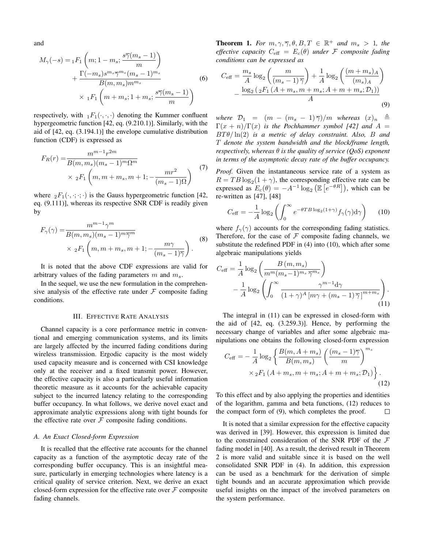and

$$
M_{\gamma}(-s) = {}_{1}F_{1}\left(m; 1 - m_{s}; \frac{s\overline{\gamma}(m_{s} - 1)}{m}\right) + \frac{\Gamma(-m_{s})s^{m_{s}}\overline{\gamma}^{m_{s}}(m_{s} - 1)^{m_{s}}}{B(m, m_{s})m^{m_{s}}}
$$
(6)  

$$
\times {}_{1}F_{1}\left(m + m_{s}; 1 + m_{s}; \frac{s\overline{\gamma}(m_{s} - 1)}{m}\right)
$$

respectively, with  $_1F_1(\cdot, \cdot, \cdot)$  denoting the Kummer confluent hypergeometric function [42, eq. (9.210.1)]. Similarly, with the aid of [42, eq. (3.194.1)] the envelope cumulative distribution function (CDF) is expressed as

$$
F_R(r) = \frac{m^{m-1}r^{2m}}{B(m, m_s)(m_s - 1)^m \Omega^m}
$$
  
×  ${}_2F_1$   $\left(m, m + m_s, m + 1; -\frac{mr^2}{(m_s - 1)\Omega}\right)$  (7)

where  ${}_2F_1(\cdot, \cdot; \cdot; \cdot)$  is the Gauss hypergeometric function [42, eq. (9.111)], whereas its respective SNR CDF is readily given by

$$
F_{\gamma}(\gamma) = \frac{m^{m-1}\gamma^m}{B(m, m_s)(m_s - 1)^m \overline{\gamma}^m}
$$
  
 
$$
\times {}_{2}F_{1}\left(m, m + m_s, m + 1; - \frac{m\gamma}{(m_s - 1)\overline{\gamma}}\right).
$$
 (8)

It is noted that the above CDF expressions are valid for arbitrary values of the fading parameters  $m$  and  $m_s$ .

In the sequel, we use the new formulation in the comprehensive analysis of the effective rate under  $F$  composite fading conditions.

#### III. EFFECTIVE RATE ANALYSIS

Channel capacity is a core performance metric in conventional and emerging communication systems, and its limits are largely affected by the incurred fading conditions during wireless transmission. Ergodic capacity is the most widely used capacity measure and is concerned with CSI knowledge only at the receiver and a fixed transmit power. However, the effective capacity is also a particularly useful information theoretic measure as it accounts for the achievable capacity subject to the incurred latency relating to the corresponding buffer occupancy. In what follows, we derive novel exact and approximate analytic expressions along with tight bounds for the effective rate over  $F$  composite fading conditions.

#### *A. An Exact Closed-form Expression*

It is recalled that the effective rate accounts for the channel capacity as a function of the asymptotic decay rate of the corresponding buffer occupancy. This is an insightful measure, particularly in emerging technologies where latency is a critical quality of service criterion. Next, we derive an exact closed-form expression for the effective rate over  $\mathcal F$  composite fading channels.

**Theorem 1.** For  $m, \gamma, \overline{\gamma}, \theta, B, T \in \mathbb{R}^+$  and  $m_s > 1$ , the *effective capacity*  $C_{\text{eff}} = E_c(\theta)$  *under* F *composite fading conditions can be expressed as*

$$
C_{\text{eff}} = \frac{m_s}{A} \log_2 \left( \frac{m}{(m_s - 1)\bar{\gamma}} \right) + \frac{1}{A} \log_2 \left( \frac{(m + m_s)_A}{(m_s)_A} \right) - \frac{\log_2 \left( {}_2F_1 \left( A + m_s, m + m_s; A + m + m_s; \mathcal{D}_1 \right) \right)}{A} \tag{9}
$$

*where*  $\mathcal{D}_1$  =  $(m - (m_s - 1)\overline{\gamma})/m$  *whereas*  $(x)_n \stackrel{\Delta}{=}$  $\Gamma(x + n)/\Gamma(x)$  *is the Pochhammer symbol [42] and*  $A =$ BT θ/ ln(2) *is a metric of delay constraint. Also,* B *and* T *denote the system bandwidth and the block/frame length, respectively, whereas* θ *is the quality of service (QoS) exponent in terms of the asymptotic decay rate of the buffer occupancy.*

*Proof.* Given the instantaneous service rate of a system as  $R = TB \log_2(1 + \gamma)$ , the corresponding effective rate can be expressed as  $E_c(\theta) = -A^{-1} \log_2 (\mathbb{E} \left[ e^{-\theta R} \right])$ , which can be re-written as [47], [48]

$$
C_{\text{eff}} = -\frac{1}{A} \log_2 \left( \int_0^\infty e^{-\theta T B \log_2(1+\gamma)} f_\gamma(\gamma) d\gamma \right) \tag{10}
$$

where  $f_{\gamma}(\gamma)$  accounts for the corresponding fading statistics. Therefore, for the case of  $F$  composite fading channels, we substitute the redefined PDF in (4) into (10), which after some algebraic manipulations yields

$$
C_{\text{eff}} = \frac{1}{A} \log_2 \left( \frac{B(m, m_s)}{m^m (m_s - 1)^{m_s} \overline{\gamma}^{m_s}} \right) - \frac{1}{A} \log_2 \left( \int_0^\infty \frac{\gamma^{m-1} \mathrm{d}\gamma}{(1 + \gamma)^A \left[ m\gamma + (m_s - 1) \overline{\gamma} \right]^{m + m_s}} \right). \tag{11}
$$

The integral in (11) can be expressed in closed-form with the aid of [42, eq. (3.259.3)]. Hence, by performing the necessary change of variables and after some algebraic manipulations one obtains the following closed-form expression

$$
C_{\text{eff}} = -\frac{1}{A} \log_2 \left\{ \frac{B(m, A + m_s)}{B(m, m_s)} \left( \frac{(m_s - 1)\overline{\gamma}}{m} \right)^{m_s} \times {}_2F_1 \left( A + m_s, m + m_s; A + m + m_s; \mathcal{D}_1 \right) \right\}.
$$
\n(12)

To this effect and by also applying the properties and identities of the logarithm, gamma and beta functions, (12) reduces to the compact form of (9), which completes the proof.  $\Box$ 

It is noted that a similar expression for the effective capacity was derived in [39]. However, this expression is limited due to the constrained consideration of the SNR PDF of the  $F$ fading model in [40]. As a result, the derived result in Theorem 2 is more valid and suitable since it is based on the well consolidated SNR PDF in (4). In addition, this expression can be used as a benchmark for the derivation of simple tight bounds and an accurate approximation which provide useful insights on the impact of the involved parameters on the system performance.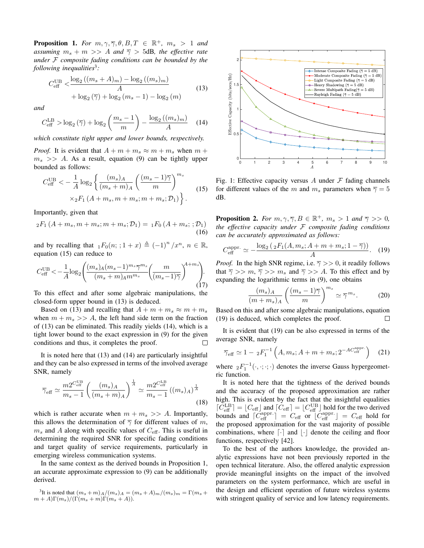**Proposition 1.** For  $m, \gamma, \overline{\gamma}, \theta, B, T \in \mathbb{R}^+, m_s > 1$  and *assuming*  $m_s + m >> A$  *and*  $\overline{\gamma} > 5$ dB, *the effective rate under* F *composite fading conditions can be bounded by the following inequalities*<sup>3</sup> *:*

$$
C_{\text{eff}}^{\text{UB}} < \frac{\log_2((m_s + A)_m) - \log_2((m_s)_m)}{A} + \log_2(\overline{\gamma}) + \log_2(m_s - 1) - \log_2(m)
$$
 (13)

*and*

$$
C_{\text{eff}}^{\text{LB}} > \log_2(\overline{\gamma}) + \log_2\left(\frac{m_s - 1}{m}\right) - \frac{\log_2\left((m_s)_m\right)}{A} \tag{14}
$$

*which constitute tight upper and lower bounds, respectively.*

*Proof.* It is evident that  $A + m + m_s \approx m + m_s$  when  $m +$  $m_s \gg A$ . As a result, equation (9) can be tightly upper bounded as follows:

$$
C_{\text{eff}}^{\text{UB}} < -\frac{1}{A} \log_2 \left\{ \frac{(m_s)_A}{(m_s + m)_A} \left( \frac{(m_s - 1)\overline{\gamma}}{m} \right)^{m_s} \times {}_{2}F_1 \left( A + m_s, m + m_s; m + m_s; \mathcal{D}_1 \right) \right\}.
$$
 (15)

Importantly, given that

$$
{}_{2}F_{1}(A+m_{s},m+m_{s};m+m_{s};\mathcal{D}_{1}) = {}_{1}F_{0}(A+m_{s};;\mathcal{D}_{1})
$$
\n(16)

and by recalling that  $_1F_0(n; ; 1+x) \triangleq (-1)^n / x^n$ ,  $n \in \mathbb{R}$ , equation (15) can reduce to

$$
C_{\text{eff}}^{\text{UB}} < -\frac{1}{A} \log_2 \left( \frac{(m_s)_A (m_s - 1)^{m_s} \overline{\gamma}^{m_s}}{(m_s + m)_{A} m^{m_s}} \left( \frac{m}{(m_s - 1)\overline{\gamma}} \right)^{A + m_s} \right). \tag{17}
$$

To this effect and after some algebraic manipulations, the closed-form upper bound in (13) is deduced.

Based on (13) and recalling that  $A + m + m_s \approx m + m_s$ when  $m + m_s >> A$ , the left hand side term on the fraction of (13) can be eliminated. This readily yields (14), which is a tight lower bound to the exact expression in (9) for the given conditions and thus, it completes the proof.  $\Box$ 

It is noted here that (13) and (14) are particularly insightful and they can be also expressed in terms of the involved average SNR, namely

$$
\overline{\gamma}_{\text{eff}} \simeq \frac{m2^{C_{\text{eff}}^{\text{UB}}}}{m_s - 1} \left( \frac{(m_s)_A}{(m_s + m)_A} \right)^{\frac{1}{A}} \simeq \frac{m2^{C_{\text{eff}}^{\text{LB}}}}{m_s - 1} \left( (m_s)_A \right)^{\frac{1}{A}}
$$
(18)

which is rather accurate when  $m + m_s >> A$ . Importantly, this allows the determination of  $\overline{\gamma}$  for different values of m,  $m<sub>s</sub>$  and A along with specific values of  $C_{\text{eff}}$ . This is useful in determining the required SNR for specific fading conditions and target quality of service requirements, particularly in emerging wireless communication systems.

In the same context as the derived bounds in Proposition 1, an accurate approximate expression to (9) can be additionally derived.

<sup>3</sup>It is noted that 
$$
(m_s + m)_{A}/(m_s)_{A} = (m_s + A)_{m}/(m_s)_{m} = \Gamma(m_s + m + A)\Gamma(m_s)/(\Gamma(m_s + m)\Gamma(m_s + A)).
$$



Fig. 1: Effective capacity versus A under  $\mathcal F$  fading channels for different values of the m and  $m_s$  parameters when  $\overline{\gamma} = 5$ dB.

**Proposition 2.** For  $m, \gamma, \overline{\gamma}, B \in \mathbb{R}^+$ ,  $m_s > 1$  and  $\overline{\gamma} >> 0$ , *the effective capacity under* F *composite fading conditions can be accurately approximated as follows:*

$$
C_{\text{eff}}^{\text{appr.}} \simeq -\frac{\log_2\left(\,{}_2F_1(A, m_s; A + m + m_s; 1 - \overline{\gamma})\right)}{A}.\tag{19}
$$

*Proof.* In the high SNR regime, i.e.  $\overline{\gamma}$  >> 0, it readily follows that  $\overline{\gamma} >> m$ ,  $\overline{\gamma} >> m_s$  and  $\overline{\gamma} >> A$ . To this effect and by expanding the logarithmic terms in (9), one obtains

$$
\frac{(m_s)_A}{(m+m_s)_A} \left(\frac{(m_s-1)\overline{\gamma}}{m}\right)^{m_s} \simeq \overline{\gamma}^{m_s}.
$$
 (20)

Based on this and after some algebraic manipulations, equation (19) is deduced, which completes the proof. П

It is evident that (19) can be also expressed in terms of the average SNR, namely

$$
\overline{\gamma}_{\text{eff}} \simeq 1 - {}_{2}F_{1}^{-1}\left(A, m_{s}; A + m + m_{s}; 2^{-AC_{\text{eff}}^{\text{appr.}}}\right) \quad (21)
$$

where  ${}_2F_1^{-1}(\cdot, \cdot; \cdot; \cdot)$  denotes the inverse Gauss hypergeometric function.

It is noted here that the tightness of the derived bounds and the accuracy of the proposed approximation are rather high. This is evident by the fact that the insightful equalities  $[C_{\text{eff}}^{\text{LB}}] = [C_{\text{eff}}]$  and  $[C_{\text{eff}}] = [C_{\text{eff}}^{\text{UB}}]$  hold for the two derived bounds and  $\left[\overline{C}_{\text{eff}}^{\text{appr.}}\right] = C_{\text{eff}}$  or  $\left[\overline{C}_{\text{eff}}^{\text{appr.}}\right] = C_{\text{eff}}$  hold for the proposed approximation for the vast majority of possible combinations, where  $\lceil \cdot \rceil$  and  $\lceil \cdot \rceil$  denote the ceiling and floor functions, respectively [42].

To the best of the authors knowledge, the provided analytic expressions have not been previously reported in the open technical literature. Also, the offered analytic expression provide meaningful insights on the impact of the involved parameters on the system performance, which are useful in the design and efficient operation of future wireless systems with stringent quality of service and low latency requirements.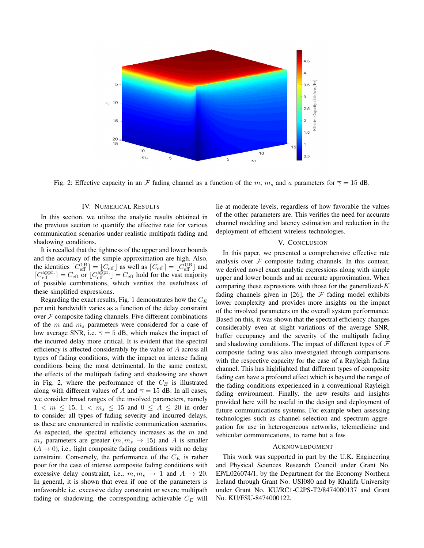

Fig. 2: Effective capacity in an F fading channel as a function of the m,  $m_s$  and a parameters for  $\overline{\gamma} = 15$  dB.

#### IV. NUMERICAL RESULTS

In this section, we utilize the analytic results obtained in the previous section to quantify the effective rate for various communication scenarios under realistic multipath fading and shadowing conditions.

It is recalled that the tightness of the upper and lower bounds and the accuracy of the simple approximation are high. Also, the identities  $\lceil C_{\text{eff}}^{\text{LB}} \rceil = \lfloor C_{\text{eff}} \rfloor$  as well as  $\lceil C_{\text{eff}} \rceil = \lfloor C_{\text{eff}}^{\text{UB}} \rfloor$  and  $[C_{\text{eff}}^{\text{appr.}}] = C_{\text{eff}}$  or  $[C_{\text{eff}}^{\text{appr.}}] = C_{\text{eff}}$  hold for the vast majority of possible combinations, which verifies the usefulness of these simplified expressions.

Regarding the exact results, Fig. 1 demonstrates how the  $C_E$ per unit bandwidth varies as a function of the delay constraint over  $F$  composite fading channels. Five different combinations of the m and  $m_s$  parameters were considered for a case of low average SNR, i.e.  $\overline{\gamma} = 5$  dB, which makes the impact of the incurred delay more critical. It is evident that the spectral efficiency is affected considerably by the value of A across all types of fading conditions, with the impact on intense fading conditions being the most detrimental. In the same context, the effects of the multipath fading and shadowing are shown in Fig. 2, where the performance of the  $C_E$  is illustrated along with different values of A and  $\overline{\gamma} = 15$  dB. In all cases, we consider broad ranges of the involved parameters, namely  $1 < m \le 15$ ,  $1 < m_s \le 15$  and  $0 \le A \le 20$  in order to consider all types of fading severity and incurred delays, as these are encountered in realistic communication scenarios. As expected, the spectral efficiency increases as the  $m$  and  $m_s$  parameters are greater  $(m, m_s \rightarrow 15)$  and A is smaller  $(A \rightarrow 0)$ , i.e., light composite fading conditions with no delay constraint. Conversely, the performance of the  $C_E$  is rather poor for the case of intense composite fading conditions with excessive delay constraint, i.e.,  $m, m_s \rightarrow 1$  and  $A \rightarrow 20$ . In general, it is shown that even if one of the parameters is unfavorable i.e. excessive delay constraint or severe multipath fading or shadowing, the corresponding achievable  $C_E$  will lie at moderate levels, regardless of how favorable the values of the other parameters are. This verifies the need for accurate channel modeling and latency estimation and reduction in the deployment of efficient wireless technologies.

#### V. CONCLUSION

In this paper, we presented a comprehensive effective rate analysis over  $F$  composite fading channels. In this context, we derived novel exact analytic expressions along with simple upper and lower bounds and an accurate approximation. When comparing these expressions with those for the generalized- $K$ fading channels given in [26], the  $\mathcal F$  fading model exhibits lower complexity and provides more insights on the impact of the involved parameters on the overall system performance. Based on this, it was shown that the spectral efficiency changes considerably even at slight variations of the average SNR, buffer occupancy and the severity of the multipath fading and shadowing conditions. The impact of different types of  $\mathcal F$ composite fading was also investigated through comparisons with the respective capacity for the case of a Rayleigh fading channel. This has highlighted that different types of composite fading can have a profound effect which is beyond the range of the fading conditions experienced in a conventional Rayleigh fading environment. Finally, the new results and insights provided here will be useful in the design and deployment of future communications systems. For example when assessing technologies such as channel selection and spectrum aggregation for use in heterogeneous networks, telemedicine and vehicular communications, to name but a few.

#### ACKNOWLEDGMENT

This work was supported in part by the U.K. Engineering and Physical Sciences Research Council under Grant No. EP/L026074/1, by the Department for the Economy Northern Ireland through Grant No. USI080 and by Khalifa University under Grant No. KU/RC1-C2PS-T2/8474000137 and Grant No. KU/FSU-8474000122.